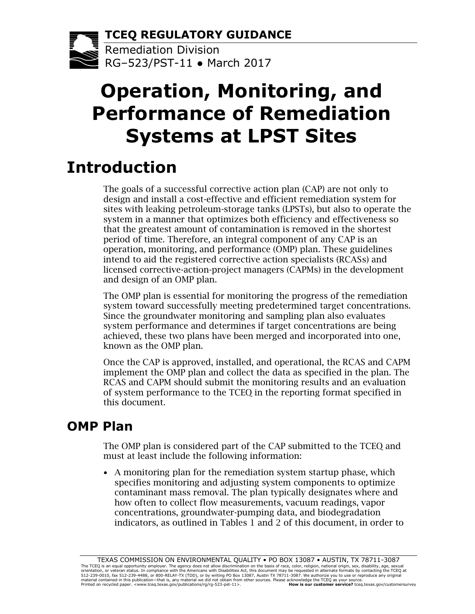**TCEQ REGULATORY GUIDANCE** Remediation Division RG–523/PST-11 ● March 2017

# **Operation, Monitoring, and Performance of Remediation Systems at LPST Sites**

## **Introduction**

 system in a manner that optimizes both efficiency and effectiveness so period of time. Therefore, an integral component of any CAP is an and design of an OMP plan. The goals of a successful corrective action plan (CAP) are not only to design and install a cost-effective and efficient remediation system for sites with leaking petroleum-storage tanks (LPSTs), but also to operate the that the greatest amount of contamination is removed in the shortest operation, monitoring, and performance (OMP) plan. These guidelines intend to aid the registered corrective action specialists (RCASs) and licensed corrective-action-project managers (CAPMs) in the development

 Since the groundwater monitoring and sampling plan also evaluates system performance and determines if target concentrations are being The OMP plan is essential for monitoring the progress of the remediation system toward successfully meeting predetermined target concentrations. achieved, these two plans have been merged and incorporated into one, known as the OMP plan.

 implement the OMP plan and collect the data as specified in the plan. The Once the CAP is approved, installed, and operational, the RCAS and CAPM RCAS and CAPM should submit the monitoring results and an evaluation of system performance to the TCEQ in the reporting format specified in this document.

### **OMP Plan**

 The OMP plan is considered part of the CAP submitted to the TCEQ and must at least include the following information:

• A monitoring plan for the remediation system startup phase, which specifies monitoring and adjusting system components to optimize contaminant mass removal. The plan typically designates where and how often to collect flow measurements, vacuum readings, vapor concentrations, groundwater-pumping data, and biodegradation indicators, as outlined in Tables 1 and 2 of this document, in order to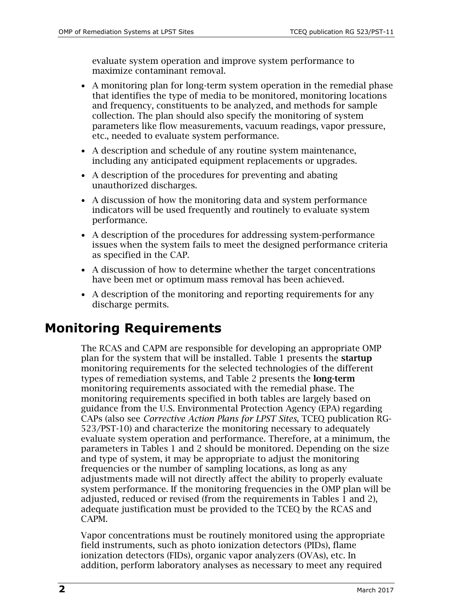evaluate system operation and improve system performance to maximize contaminant removal.

- A monitoring plan for long-term system operation in the remedial phase and frequency, constituents to be analyzed, and methods for sample that identifies the type of media to be monitored, monitoring locations collection. The plan should also specify the monitoring of system parameters like flow measurements, vacuum readings, vapor pressure, etc., needed to evaluate system performance.
- A description and schedule of any routine system maintenance, including any anticipated equipment replacements or upgrades.
- A description of the procedures for preventing and abating unauthorized discharges.
- A discussion of how the monitoring data and system performance indicators will be used frequently and routinely to evaluate system performance.
- A description of the procedures for addressing system-performance issues when the system fails to meet the designed performance criteria as specified in the CAP.
- A discussion of how to determine whether the target concentrations have been met or optimum mass removal has been achieved.
- A description of the monitoring and reporting requirements for any discharge permits.

#### **Monitoring Requirements**

 CAPs (also see *Corrective Action Plans for LPST Sites*, TCEQ publication RG- frequencies or the number of sampling locations, as long as any adjustments made will not directly affect the ability to properly evaluate The RCAS and CAPM are responsible for developing an appropriate OMP plan for the system that will be installed. Table 1 presents the startup monitoring requirements for the selected technologies of the different types of remediation systems, and Table 2 presents the long-term monitoring requirements associated with the remedial phase. The monitoring requirements specified in both tables are largely based on guidance from the U.S. Environmental Protection Agency (EPA) regarding 523/PST-10) and characterize the monitoring necessary to adequately evaluate system operation and performance. Therefore, at a minimum, the parameters in Tables 1 and 2 should be monitored. Depending on the size and type of system, it may be appropriate to adjust the monitoring system performance. If the monitoring frequencies in the OMP plan will be adjusted, reduced or revised (from the requirements in Tables 1 and 2), adequate justification must be provided to the TCEQ by the RCAS and CAPM.

 field instruments, such as photo ionization detectors (PIDs), flame addition, perform laboratory analyses as necessary to meet any required Vapor concentrations must be routinely monitored using the appropriate ionization detectors (FIDs), organic vapor analyzers (OVAs), etc. In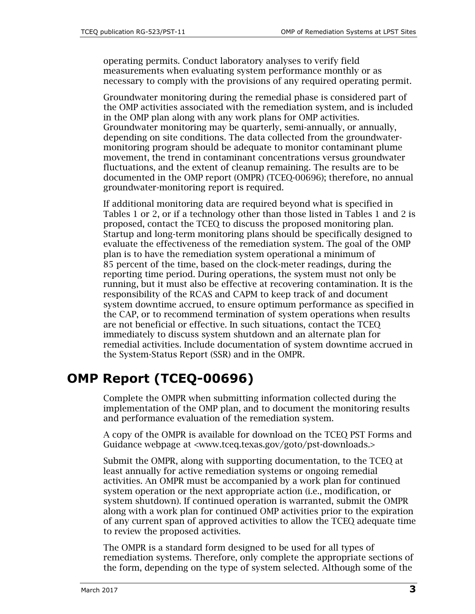measurements when evaluating system performance monthly or as necessary to comply with the provisions of any required operating permit. operating permits. Conduct laboratory analyses to verify field

 groundwater-monitoring report is required. Groundwater monitoring during the remedial phase is considered part of the OMP activities associated with the remediation system, and is included in the OMP plan along with any work plans for OMP activities. Groundwater monitoring may be quarterly, semi-annually, or annually, depending on site conditions. The data collected from the groundwatermonitoring program should be adequate to monitor contaminant plume movement, the trend in contaminant concentrations versus groundwater fluctuations, and the extent of cleanup remaining. The results are to be documented in the OMP report (OMPR) (TCEQ-00696); therefore, no annual

 proposed, contact the TCEQ to discuss the proposed monitoring plan. immediately to discuss system shutdown and an alternate plan for the System-Status Report (SSR) and in the OMPR. If additional monitoring data are required beyond what is specified in Tables 1 or 2, or if a technology other than those listed in Tables 1 and 2 is Startup and long-term monitoring plans should be specifically designed to evaluate the effectiveness of the remediation system. The goal of the OMP plan is to have the remediation system operational a minimum of 85 percent of the time, based on the clock-meter readings, during the reporting time period. During operations, the system must not only be running, but it must also be effective at recovering contamination. It is the responsibility of the RCAS and CAPM to keep track of and document system downtime accrued, to ensure optimum performance as specified in the CAP, or to recommend termination of system operations when results are not beneficial or effective. In such situations, contact the TCEQ remedial activities. Include documentation of system downtime accrued in

### **OMP Report (TCEQ-00696)**

 Complete the OMPR when submitting information collected during the implementation of the OMP plan, and to document the monitoring results and performance evaluation of the remediation system.

 A copy of the OMPR is available for download on the TCEQ PST Forms and Guidance webpage at [<www.tceq.texas.gov/goto/pst-downloads.](http://www.tceq.texas.gov/goto/pst-downloads)>

 Submit the OMPR, along with supporting documentation, to the TCEQ at system shutdown). If continued operation is warranted, submit the OMPR along with a work plan for continued OMP activities prior to the expiration least annually for active remediation systems or ongoing remedial activities. An OMPR must be accompanied by a work plan for continued system operation or the next appropriate action (i.e., modification, or of any current span of approved activities to allow the TCEQ adequate time to review the proposed activities.

 remediation systems. Therefore, only complete the appropriate sections of The OMPR is a standard form designed to be used for all types of the form, depending on the type of system selected. Although some of the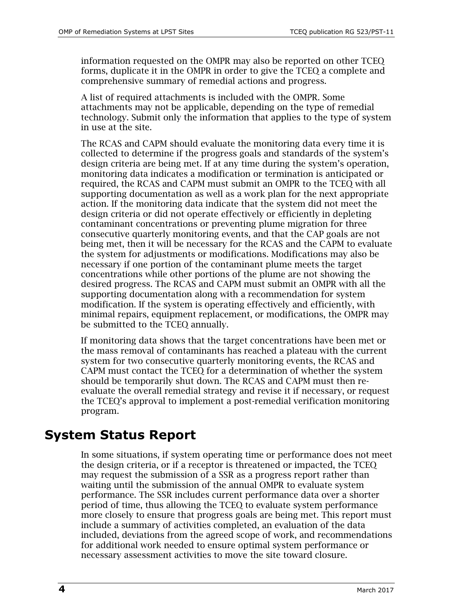information requested on the OMPR may also be reported on other TCEQ forms, duplicate it in the OMPR in order to give the TCEQ a complete and comprehensive summary of remedial actions and progress.

A list of required attachments is included with the OMPR. Some attachments may not be applicable, depending on the type of remedial technology. Submit only the information that applies to the type of system in use at the site.

 design criteria are being met. If at any time during the system's operation, required, the RCAS and CAPM must submit an OMPR to the TCEQ with all design criteria or did not operate effectively or efficiently in depleting being met, then it will be necessary for the RCAS and the CAPM to evaluate desired progress. The RCAS and CAPM must submit an OMPR with all the supporting documentation along with a recommendation for system modification. If the system is operating effectively and efficiently, with be submitted to the TCEQ annually. The RCAS and CAPM should evaluate the monitoring data every time it is collected to determine if the progress goals and standards of the system's monitoring data indicates a modification or termination is anticipated or supporting documentation as well as a work plan for the next appropriate action. If the monitoring data indicate that the system did not meet the contaminant concentrations or preventing plume migration for three consecutive quarterly monitoring events, and that the CAP goals are not the system for adjustments or modifications. Modifications may also be necessary if one portion of the contaminant plume meets the target concentrations while other portions of the plume are not showing the minimal repairs, equipment replacement, or modifications, the OMPR may

 If monitoring data shows that the target concentrations have been met or system for two consecutive quarterly monitoring events, the RCAS and CAPM must contact the TCEQ for a determination of whether the system evaluate the overall remedial strategy and revise it if necessary, or request the mass removal of contaminants has reached a plateau with the current should be temporarily shut down. The RCAS and CAPM must then rethe TCEQ's approval to implement a post-remedial verification monitoring program.

#### **System Status Report**

 more closely to ensure that progress goals are being met. This report must include a summary of activities completed, an evaluation of the data for additional work needed to ensure optimal system performance or In some situations, if system operating time or performance does not meet the design criteria, or if a receptor is threatened or impacted, the TCEQ may request the submission of a SSR as a progress report rather than waiting until the submission of the annual OMPR to evaluate system performance. The SSR includes current performance data over a shorter period of time, thus allowing the TCEQ to evaluate system performance included, deviations from the agreed scope of work, and recommendations necessary assessment activities to move the site toward closure.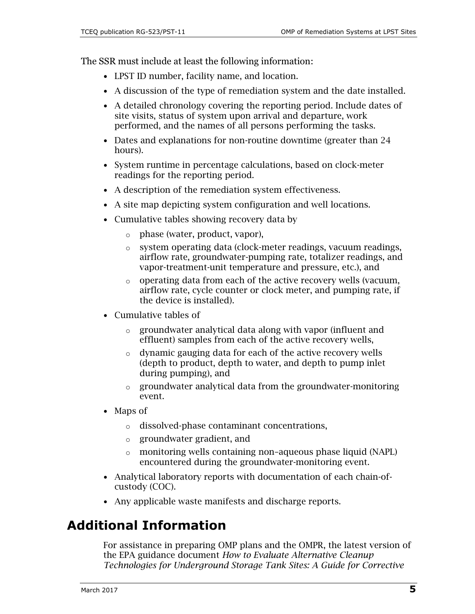The SSR must include at least the following information:

- LPST ID number, facility name, and location.
- A discussion of the type of remediation system and the date installed.
- A detailed chronology covering the reporting period. Include dates of site visits, status of system upon arrival and departure, work performed, and the names of all persons performing the tasks.
- Dates and explanations for non-routine downtime (greater than 24 hours).
- System runtime in percentage calculations, based on clock-meter readings for the reporting period.
- A description of the remediation system effectiveness.
- A site map depicting system configuration and well locations.
- Cumulative tables showing recovery data by
	- o phase (water, product, vapor),
	- o system operating data (clock-meter readings, vacuum readings, airflow rate, groundwater-pumping rate, totalizer readings, and vapor-treatment-unit temperature and pressure, etc.), and
	- airflow rate, cycle counter or clock meter, and pumping rate, if  $\circ$  operating data from each of the active recovery wells (vacuum, the device is installed).
- Cumulative tables of
	- $\circ$  groundwater analytical data along with vapor (influent and effluent) samples from each of the active recovery wells,
	- $\circ$  dynamic gauging data for each of the active recovery wells (depth to product, depth to water, and depth to pump inlet during pumping), and
	- $\circ$  groundwater analytical data from the groundwater-monitoring event.
- Maps of
	- o dissolved-phase contaminant concentrations,
	- o groundwater gradient, and
	- encountered during the groundwater-monitoring event.  $\circ$  monitoring wells containing non–aqueous phase liquid (NAPL)
- Analytical laboratory reports with documentation of each chain-ofcustody (COC).
- Any applicable waste manifests and discharge reports.

#### **Additional Information**

 *[Technologies for Underground Storage Tank Sites: A Guide for Corrective](http://www2.epa.gov/ust/how-evaluate-alternative-cleanup-technologies-underground-storage-tank-sites-guide-corrective)*  For assistance in preparing OMP plans and the OMPR, the latest version of the EPA guidance document *[How to Evaluate Alternative Cleanup](http://www2.epa.gov/ust/how-evaluate-alternative-cleanup-technologies-underground-storage-tank-sites-guide-corrective)*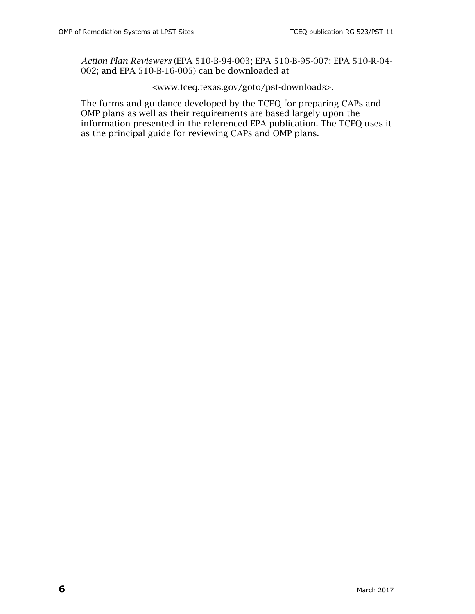[002; and EPA 510-B-16-005\)](http://www2.epa.gov/ust/how-evaluate-alternative-cleanup-technologies-underground-storage-tank-sites-guide-corrective) can be downloaded at *Action Plan Reviewers* [\(EPA 510-B-94-003; EPA 510-B-95-007; EPA 510-R-04-](http://www2.epa.gov/ust/how-evaluate-alternative-cleanup-technologies-underground-storage-tank-sites-guide-corrective)

#### [<www.tceq.texas.gov/goto/pst-downloads>.](http://www.epa.gov/ust/how-evaluate-alternative-cleanup-technologies-underground-storage-tank-sites-guide-corrective)

 The forms and guidance developed by the TCEQ for preparing CAPs and OMP plans as well as their requirements are based largely upon the information presented in the referenced EPA publication. The TCEQ uses it as the principal guide for reviewing CAPs and OMP plans.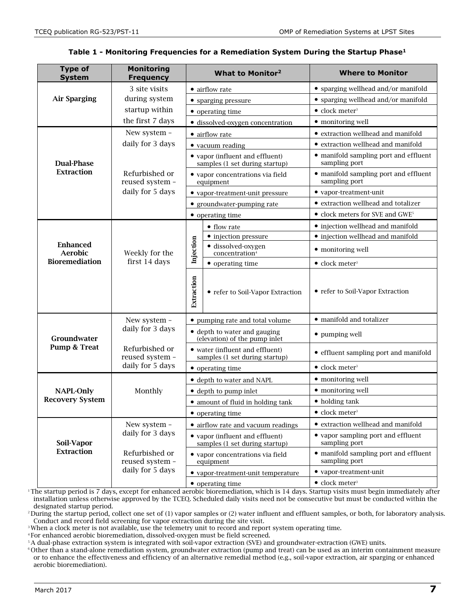| <b>Type of</b><br><b>System</b>                            | <b>Monitoring</b><br><b>Frequency</b>                                                     |                                                                   | <b>What to Monitor2</b>                          | <b>Where to Monitor</b>                                |
|------------------------------------------------------------|-------------------------------------------------------------------------------------------|-------------------------------------------------------------------|--------------------------------------------------|--------------------------------------------------------|
| <b>Air Sparging</b>                                        | 3 site visits                                                                             | • airflow rate                                                    |                                                  | • sparging wellhead and/or manifold                    |
|                                                            | during system<br>startup within                                                           | • sparging pressure                                               |                                                  | • sparging wellhead and/or manifold                    |
|                                                            |                                                                                           | • operating time                                                  |                                                  | $\bullet$ clock meter <sup>3</sup>                     |
|                                                            | the first 7 days                                                                          |                                                                   | · dissolved-oxygen concentration                 | • monitoring well                                      |
| <b>Dual-Phase</b><br><b>Extraction</b>                     | New system -                                                                              |                                                                   | • airflow rate                                   | • extraction wellhead and manifold                     |
|                                                            | daily for 3 days                                                                          | • vacuum reading                                                  |                                                  | • extraction wellhead and manifold                     |
|                                                            | Refurbished or<br>reused system -<br>daily for 5 days                                     | • vapor (influent and effluent)<br>samples (1 set during startup) |                                                  | • manifold sampling port and effluent<br>sampling port |
|                                                            |                                                                                           | • vapor concentrations via field<br>equipment                     |                                                  | • manifold sampling port and effluent<br>sampling port |
|                                                            |                                                                                           | • vapor-treatment-unit pressure                                   |                                                  | • vapor-treatment-unit                                 |
|                                                            |                                                                                           | • groundwater-pumping rate                                        |                                                  | • extraction wellhead and totalizer                    |
|                                                            |                                                                                           | • operating time                                                  |                                                  | • clock meters for SVE and GWE <sup>5</sup>            |
|                                                            | Weekly for the<br>first 14 days                                                           | Injection                                                         | • flow rate                                      | • injection wellhead and manifold                      |
|                                                            |                                                                                           |                                                                   | • injection pressure                             | • injection wellhead and manifold                      |
| <b>Enhanced</b><br><b>Aerobic</b><br><b>Bioremediation</b> |                                                                                           |                                                                   | · dissolved-oxygen<br>concentration <sup>4</sup> | • monitoring well                                      |
|                                                            |                                                                                           |                                                                   | • operating time                                 | $\bullet$ clock meter <sup>3</sup>                     |
|                                                            |                                                                                           | Extraction                                                        | • refer to Soil-Vapor Extraction                 | • refer to Soil-Vapor Extraction                       |
| Groundwater<br><b>Pump &amp; Treat</b>                     | New system -<br>daily for 3 days                                                          | • pumping rate and total volume                                   |                                                  | • manifold and totalizer                               |
|                                                            |                                                                                           | • depth to water and gauging<br>(elevation) of the pump inlet     |                                                  | • pumping well                                         |
|                                                            | Refurbished or<br>reused system -                                                         | • water (influent and effluent)<br>samples (1 set during startup) |                                                  | • effluent sampling port and manifold                  |
|                                                            | daily for 5 days                                                                          | • operating time                                                  |                                                  | $\bullet$ clock meter <sup>3</sup>                     |
| <b>NAPL-Only</b><br><b>Recovery System</b>                 | Monthly                                                                                   | • depth to water and NAPL                                         |                                                  | • monitoring well                                      |
|                                                            |                                                                                           | $\bullet$ depth to pump inlet                                     |                                                  | • monitoring well                                      |
|                                                            |                                                                                           | • amount of fluid in holding tank                                 |                                                  | • holding tank                                         |
|                                                            |                                                                                           | • operating time                                                  |                                                  | $\bullet$ clock meter <sup>3</sup>                     |
| Soil-Vapor<br><b>Extraction</b>                            | New system -<br>daily for 3 days<br>Refurbished or<br>reused system -<br>daily for 5 days | • airflow rate and vacuum readings                                |                                                  | • extraction wellhead and manifold                     |
|                                                            |                                                                                           | • vapor (influent and effluent)<br>samples (1 set during startup) |                                                  | • vapor sampling port and effluent<br>sampling port    |
|                                                            |                                                                                           | • vapor concentrations via field<br>equipment                     |                                                  | • manifold sampling port and effluent<br>sampling port |
|                                                            |                                                                                           | • vapor-treatment-unit temperature                                |                                                  | • vapor-treatment-unit                                 |
|                                                            |                                                                                           |                                                                   | • operating time                                 | $\bullet\,$ clock meter <sup>3</sup>                   |

#### **Table 1 - Monitoring Frequencies for a Remediation System During the Startup Phase1**

 1 The startup period is 7 days, except for enhanced aerobic bioremediation, which is 14 days. Startup visits must begin immediately after installation unless otherwise approved by the TCEQ. Scheduled daily visits need not be consecutive but must be conducted within the designated startup period.<br><sup>2</sup> During the startup period, collect one set of (1) vapor samples or (2) water influent and effluent samples, or both, for laboratory analysis.

Conduct and record field screening for vapor extraction during the site visit. Conduct and record field screening for vapor extraction during the site visit.<br><sup>3</sup> When a clock meter is not available, use the telemetry unit to record and report system operating time.

4 For enhanced aerobic bioremediation, dissolved-oxygen must be field screened.

5 A dual-phase extraction system is integrated with soil-vapor extraction (SVE) and groundwater-extraction (GWE) units.

 or to enhance the effectiveness and efficiency of an alternative remedial method (e.g., soil-vapor extraction, air sparging or enhanced 6 Other than a stand-alone remediation system, groundwater extraction (pump and treat) can be used as an interim containment measure aerobic bioremediation).